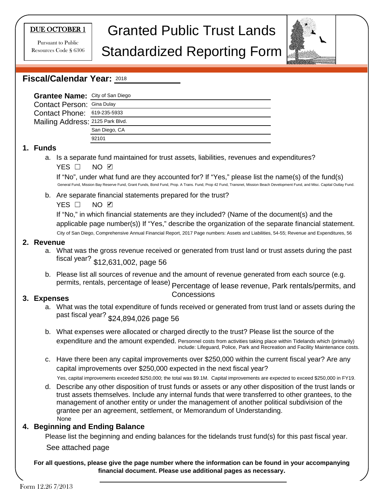#### DUE OCTOBER 1

Pursuant to Public Resources Code § 6306

# Granted Public Trust Lands

# Standardized Reporting Form



#### **Fiscal/Calendar Year:**  2018

| Grantee Name: City of San Diego   |               |
|-----------------------------------|---------------|
| <b>Contact Person: Gina Dulay</b> |               |
| Contact Phone: 619-235-5933       |               |
| Mailing Address: 2125 Park Blvd.  |               |
|                                   | San Diego, CA |
|                                   | 92101         |
|                                   |               |

#### **1. Funds**

a. Is a separate fund maintained for trust assets, liabilities, revenues and expenditures? YES □ NO ☑

If "No", under what fund are they accounted for? If "Yes," please list the name(s) of the fund(s) General Fund, Mission Bay Reserve Fund, Grant Funds, Bond Fund, Prop. A Trans. Fund, Prop 42 Fund, Transnet, Mission Beach Development Fund, and Misc. Capital Outlay Fund.

b. Are separate financial statements prepared for the trust?

YES □ NO ☑

If "No," in which financial statements are they included? (Name of the document(s) and the applicable page number(s)) If "Yes," describe the organization of the separate financial statement. YES □ NO ☑<br>If "No," in which financial statements are they included? (Name of the document(s) and the<br>applicable page number(s)) If "Yes," describe the organization of the separate financial statement<br>City of San Diego, C

#### **2. Revenue**

- a. What was the gross revenue received or generated from trust land or trust assets during the past fiscal year? \$12,631,002, page 56
- b. Please list all sources of revenue and the amount of revenue generated from each source (e.g. permits, rentals, percentage of lease)  $_{\rm Percentage}$  of lease revenue, Park rentals/permits, and

#### **3. Expenses**

- Concessions
- a. What was the total expenditure of funds received or generated from trust land or assets during the past fiscal year? \$24,894,026 page 56
- b. What expenses were allocated or charged directly to the trust? Please list the source of the expenditure and the amount expended. Personnel costs from activities taking place within Tidelands which (primarily) include: Lifeguard, Police, Park and Recreation and Facility Maintenance costs.
- c. Have there been any capital improvements over \$250,000 within the current fiscal year? Are any capital improvements over \$250,000 expected in the next fiscal year?

Yes, capital improvements exceeded \$250,000; the total was \$9.1M. Capital improvements are expected to exceed \$250,000 in FY19.

d. Describe any other disposition of trust funds or assets or any other disposition of the trust lands or trust assets themselves. Include any internal funds that were transferred to other grantees, to the management of another entity or under the management of another political subdivision of the grantee per an agreement, settlement, or Memorandum of Understanding. None

#### **4. Beginning and Ending Balance**

Please list the beginning and ending balances for the tidelands trust fund(s) for this past fiscal year.

See attached page

**For all questions, please give the page number where the information can be found in your accompanying financial document. Please use additional pages as necessary.**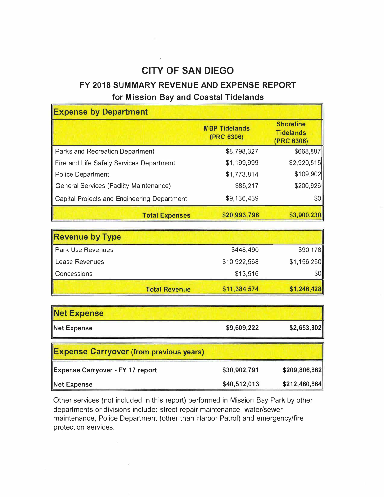## **CITY OF SAN DIEGO**

## **FY 2018 SUMMARY REVENUE AND EXPENSE REPORT**

#### **for Mission Bay and Coastal Tidelands**

| <b>Expense by Department</b>                |                                    |                                                    |
|---------------------------------------------|------------------------------------|----------------------------------------------------|
|                                             | <b>MBP Tidelands</b><br>(PRC 6306) | <b>Shoreline</b><br><b>Tidelands</b><br>(PRC 6306) |
| Parks and Recreation Department             | \$8,798,327                        | \$668,887                                          |
| Fire and Life Safety Services Department    | \$1,199,999                        | \$2,920,515                                        |
| Police Department                           | \$1,773,814                        | \$109,902                                          |
| General Services (Facility Maintenance)     | \$85,217                           | \$200,926                                          |
| Capital Projects and Engineering Department | \$9,136,439                        | \$0                                                |
| <b>Total Expenses</b>                       | \$20,993,796                       | \$3,900,230                                        |

| <b>Revenue by Type</b>   |                      |              |             |
|--------------------------|----------------------|--------------|-------------|
| <b>Park Use Revenues</b> |                      | \$448,490    | \$90,178    |
| Lease Revenues           |                      | \$10,922,568 | \$1,156,250 |
| Concessions              |                      | \$13,516     | \$0         |
|                          | <b>Total Revenue</b> | \$11,384,574 | \$1,246,428 |

| <b>Net Expense</b>                             |              |               |
|------------------------------------------------|--------------|---------------|
| Net Expense                                    | \$9,609,222  | \$2,653,802   |
| <b>Expense Carryover (from previous years)</b> |              |               |
| <b>Expense Carryover - FY 17 report</b>        | \$30,902,791 | \$209,806,862 |
| Net Expense                                    | \$40,512,013 | \$212,460,664 |

Other services (not included in this report) performed in Mission Bay Park by other departments or divisions include: street repair maintenance, water/sewer maintenance, Police Department (other than Harbor Patrol) and emergency/fire protection services.